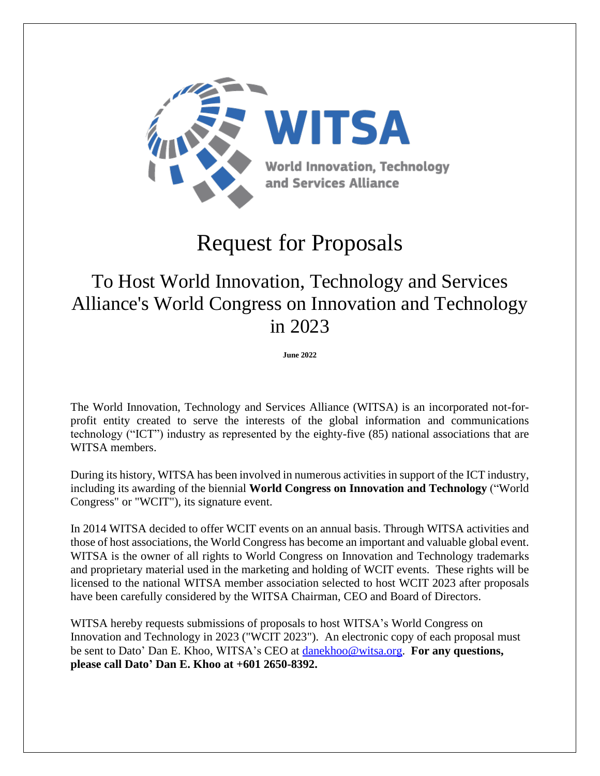

# Request for Proposals

# To Host World Innovation, Technology and Services Alliance's World Congress on Innovation and Technology in 2023

**June 2022**

The World Innovation, Technology and Services Alliance (WITSA) is an incorporated not-forprofit entity created to serve the interests of the global information and communications technology ("ICT") industry as represented by the eighty-five (85) national associations that are WITSA members.

During its history, WITSA has been involved in numerous activities in support of the ICT industry, including its awarding of the biennial **World Congress on Innovation and Technology** ("World Congress" or "WCIT"), its signature event.

In 2014 WITSA decided to offer WCIT events on an annual basis. Through WITSA activities and those of host associations, the World Congress has become an important and valuable global event. WITSA is the owner of all rights to World Congress on Innovation and Technology trademarks and proprietary material used in the marketing and holding of WCIT events. These rights will be licensed to the national WITSA member association selected to host WCIT 2023 after proposals have been carefully considered by the WITSA Chairman, CEO and Board of Directors.

WITSA hereby requests submissions of proposals to host WITSA's World Congress on Innovation and Technology in 2023 ("WCIT 2023"). An electronic copy of each proposal must be sent to Dato' Dan E. Khoo, WITSA's CEO at [danekhoo@witsa.org.](mailto:danekhoo@witsa.org) **For any questions, please call Dato' Dan E. Khoo at +601 2650-8392.**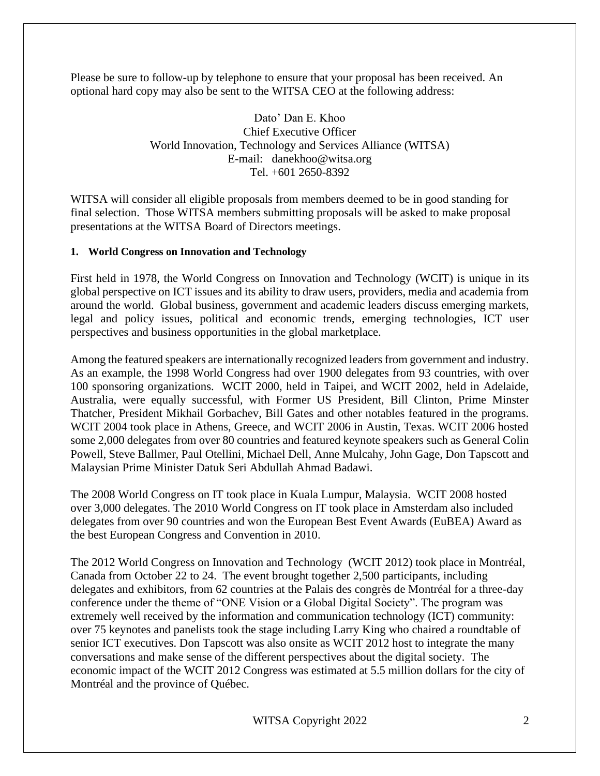Please be sure to follow-up by telephone to ensure that your proposal has been received. An optional hard copy may also be sent to the WITSA CEO at the following address:

> Dato' Dan E. Khoo Chief Executive Officer World Innovation, Technology and Services Alliance (WITSA) E-mail: danekhoo@witsa.org Tel. +601 2650-8392

WITSA will consider all eligible proposals from members deemed to be in good standing for final selection. Those WITSA members submitting proposals will be asked to make proposal presentations at the WITSA Board of Directors meetings.

## **1. World Congress on Innovation and Technology**

First held in 1978, the World Congress on Innovation and Technology (WCIT) is unique in its global perspective on ICT issues and its ability to draw users, providers, media and academia from around the world. Global business, government and academic leaders discuss emerging markets, legal and policy issues, political and economic trends, emerging technologies, ICT user perspectives and business opportunities in the global marketplace.

Among the featured speakers are internationally recognized leaders from government and industry. As an example, the 1998 World Congress had over 1900 delegates from 93 countries, with over 100 sponsoring organizations. WCIT 2000, held in Taipei, and WCIT 2002, held in Adelaide, Australia, were equally successful, with Former US President, Bill Clinton, Prime Minster Thatcher, President Mikhail Gorbachev, Bill Gates and other notables featured in the programs. WCIT 2004 took place in Athens, Greece, and WCIT 2006 in Austin, Texas. WCIT 2006 hosted some 2,000 delegates from over 80 countries and featured keynote speakers such as General Colin Powell, Steve Ballmer, Paul Otellini, Michael Dell, Anne Mulcahy, John Gage, Don Tapscott and Malaysian Prime Minister Datuk Seri Abdullah Ahmad Badawi.

The 2008 World Congress on IT took place in Kuala Lumpur, Malaysia. WCIT 2008 hosted over 3,000 delegates. The 2010 World Congress on IT took place in Amsterdam also included delegates from over 90 countries and won the European Best Event Awards (EuBEA) Award as the best European Congress and Convention in 2010.

The 2012 World Congress on Innovation and Technology (WCIT 2012) took place in Montréal, Canada from October 22 to 24. The event brought together 2,500 participants, including delegates and exhibitors, from 62 countries at the Palais des congrès de Montréal for a three-day conference under the theme of "ONE Vision or a Global Digital Society". The program was extremely well received by the information and communication technology (ICT) community: over 75 keynotes and panelists took the stage including Larry King who chaired a roundtable of senior ICT executives. Don Tapscott was also onsite as WCIT 2012 host to integrate the many conversations and make sense of the different perspectives about the digital society. The economic impact of the WCIT 2012 Congress was estimated at 5.5 million dollars for the city of Montréal and the province of Québec.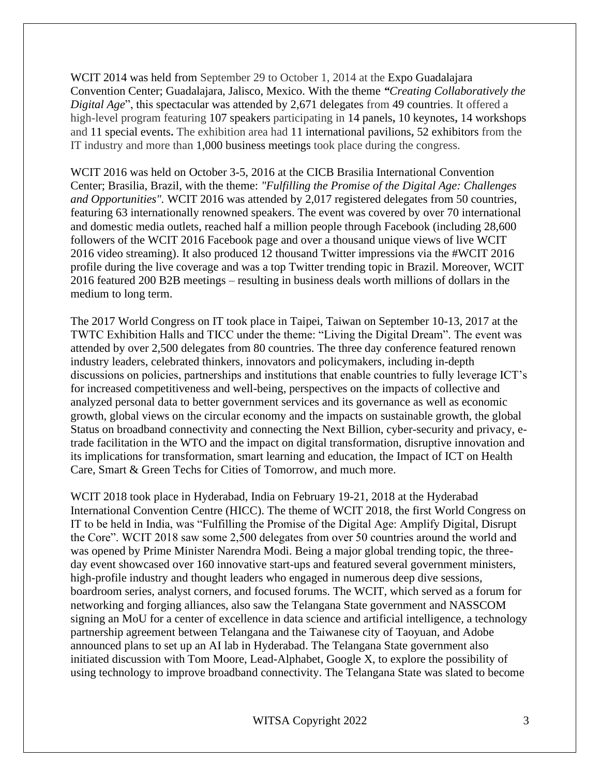WCIT 2014 was held from September 29 to October 1, 2014 at the Expo Guadalajara Convention Center; Guadalajara, Jalisco, Mexico. With the theme *"Creating Collaboratively the Digital Age*", this spectacular was attended by 2,671 delegates from 49 countries. It offered a high-level program featuring 107 speakers participating in 14 panels**,** 10 keynotes**,** 14 workshops and 11 special events**.** The exhibition area had 11 international pavilions**,** 52 exhibitors from the IT industry and more than 1,000 business meetings took place during the congress.

WCIT 2016 was held on October 3-5, 2016 at the CICB Brasilia International Convention Center; Brasilia, Brazil, with the theme: *"Fulfilling the Promise of the Digital Age: Challenges and Opportunities".* WCIT 2016 was attended by 2,017 registered delegates from 50 countries, featuring 63 internationally renowned speakers. The event was covered by over 70 international and domestic media outlets, reached half a million people through Facebook (including 28,600 followers of the WCIT 2016 Facebook page and over a thousand unique views of live WCIT 2016 video streaming). It also produced 12 thousand Twitter impressions via the #WCIT 2016 profile during the live coverage and was a top Twitter trending topic in Brazil. Moreover, WCIT 2016 featured 200 B2B meetings – resulting in business deals worth millions of dollars in the medium to long term.

The 2017 World Congress on IT took place in Taipei, Taiwan on September 10-13, 2017 at the TWTC Exhibition Halls and TICC under the theme: "Living the Digital Dream". The event was attended by over 2,500 delegates from 80 countries. The three day conference featured renown industry leaders, celebrated thinkers, innovators and policymakers, including in-depth discussions on policies, partnerships and institutions that enable countries to fully leverage ICT's for increased competitiveness and well-being, perspectives on the impacts of collective and analyzed personal data to better government services and its governance as well as economic growth, global views on the circular economy and the impacts on sustainable growth, the global Status on broadband connectivity and connecting the Next Billion, cyber-security and privacy, etrade facilitation in the WTO and the impact on digital transformation, disruptive innovation and its implications for transformation, smart learning and education, the Impact of ICT on Health Care, Smart & Green Techs for Cities of Tomorrow, and much more.

WCIT 2018 took place in Hyderabad, India on February 19-21, 2018 at the Hyderabad International Convention Centre (HICC). The theme of WCIT 2018, the first World Congress on IT to be held in India, was "Fulfilling the Promise of the Digital Age: Amplify Digital, Disrupt the Core". WCIT 2018 saw some 2,500 delegates from over 50 countries around the world and was opened by Prime Minister Narendra Modi. Being a major global trending topic, the threeday event showcased over 160 innovative start-ups and featured several government ministers, high-profile industry and thought leaders who engaged in numerous deep dive sessions, boardroom series, analyst corners, and focused forums. The WCIT, which served as a forum for networking and forging alliances, also saw the Telangana State government and NASSCOM signing an MoU for a center of excellence in data science and artificial intelligence, a technology partnership agreement between Telangana and the Taiwanese city of Taoyuan, and Adobe announced plans to set up an AI lab in Hyderabad. The Telangana State government also initiated discussion with Tom Moore, Lead-Alphabet, Google X, to explore the possibility of using technology to improve broadband connectivity. The Telangana State was slated to become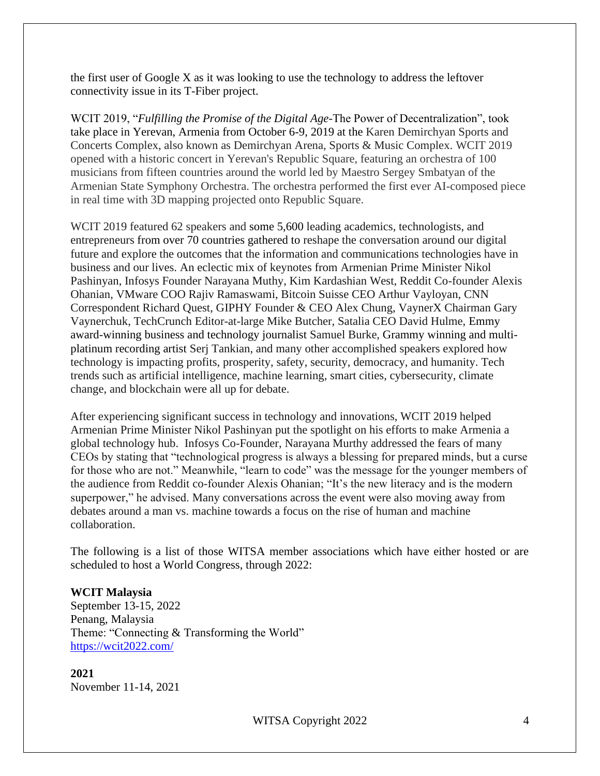the first user of Google X as it was looking to use the technology to address the leftover connectivity issue in its T-Fiber project.

WCIT 2019, "*Fulfilling the Promise of the Digital Age*-The Power of Decentralization", took take place in Yerevan, Armenia from October 6-9, 2019 at the Karen Demirchyan Sports and Concerts Complex, also known as Demirchyan Arena, Sports & Music Complex. WCIT 2019 opened with a historic concert in Yerevan's Republic Square, featuring an orchestra of 100 musicians from fifteen countries around the world led by Maestro Sergey Smbatyan of the Armenian State Symphony Orchestra. The orchestra performed the first ever AI-composed piece in real time with 3D mapping projected onto Republic Square.

WCIT 2019 featured 62 speakers and some 5,600 leading academics, technologists, and entrepreneurs from over 70 countries gathered to reshape the conversation around our digital future and explore the outcomes that the information and communications technologies have in business and our lives. An eclectic mix of keynotes from Armenian Prime Minister Nikol Pashinyan, Infosys Founder Narayana Muthy, Kim Kardashian West, Reddit Co-founder Alexis Ohanian, VMware COO Rajiv Ramaswami, Bitcoin Suisse CEO Arthur Vayloyan, CNN Correspondent Richard Quest, GIPHY Founder & CEO Alex Chung, VaynerX Chairman Gary Vaynerchuk, TechCrunch Editor-at-large Mike Butcher, Satalia CEO David Hulme, Emmy award-winning business and technology journalist Samuel Burke, Grammy winning and multiplatinum recording artist Serj Tankian, and many other accomplished speakers explored how technology is impacting profits, prosperity, safety, security, democracy, and humanity. Tech trends such as artificial intelligence, machine learning, smart cities, cybersecurity, climate change, and blockchain were all up for debate.

After experiencing significant success in technology and innovations, WCIT 2019 helped Armenian Prime Minister Nikol Pashinyan put the spotlight on his efforts to make Armenia a global technology hub. Infosys Co-Founder, Narayana Murthy addressed the fears of many CEOs by stating that "technological progress is always a blessing for prepared minds, but a curse for those who are not." Meanwhile, "learn to code" was the message for the younger members of the audience from Reddit co-founder Alexis Ohanian; "It's the new literacy and is the modern superpower," he advised. Many conversations across the event were also moving away from debates around a man vs. machine towards a focus on the rise of human and machine collaboration.

The following is a list of those WITSA member associations which have either hosted or are scheduled to host a World Congress, through 2022:

## **WCIT Malaysia**

September 13-15, 2022 Penang, Malaysia Theme: "Connecting & Transforming the World" <https://wcit2022.com/>

**2021** November 11-14, 2021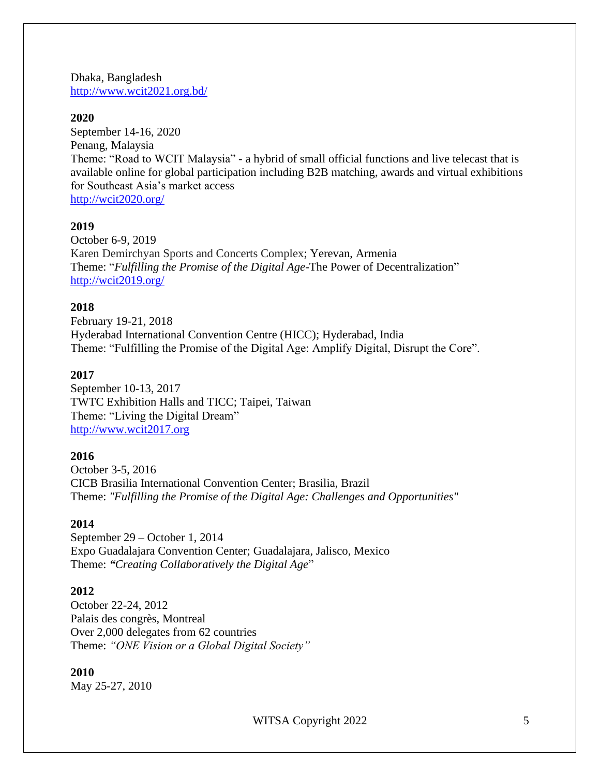Dhaka, Bangladesh <http://www.wcit2021.org.bd/>

#### **2020**

September 14-16, 2020 Penang, Malaysia Theme: "Road to WCIT Malaysia" - a hybrid of small official functions and live telecast that is available online for global participation including B2B matching, awards and virtual exhibitions for Southeast Asia's market access <http://wcit2020.org/>

## **2019**

October 6-9, 2019 Karen Demirchyan Sports and Concerts Complex; Yerevan, Armenia Theme: "*Fulfilling the Promise of the Digital Age*-The Power of Decentralization" <http://wcit2019.org/>

## **2018**

February 19-21, 2018 Hyderabad International Convention Centre (HICC); Hyderabad, India Theme: "Fulfilling the Promise of the Digital Age: Amplify Digital, Disrupt the Core".

#### **2017**

September 10-13, 2017 TWTC Exhibition Halls and TICC; Taipei, Taiwan Theme: "Living the Digital Dream" [http://www.wcit2017.org](http://www.wcit2017.org/)

#### **2016**

October 3-5, 2016 CICB Brasilia International Convention Center; Brasilia, Brazil Theme: *"Fulfilling the Promise of the Digital Age: Challenges and Opportunities"*

#### **2014**

September 29 – October 1, 2014 Expo Guadalajara Convention Center; Guadalajara, Jalisco, Mexico Theme: *"Creating Collaboratively the Digital Age*"

#### **2012**

October 22-24, 2012 Palais des congrès, Montreal Over 2,000 delegates from 62 countries Theme: *"ONE Vision or a Global Digital Society"*

#### **2010**

May 25-27, 2010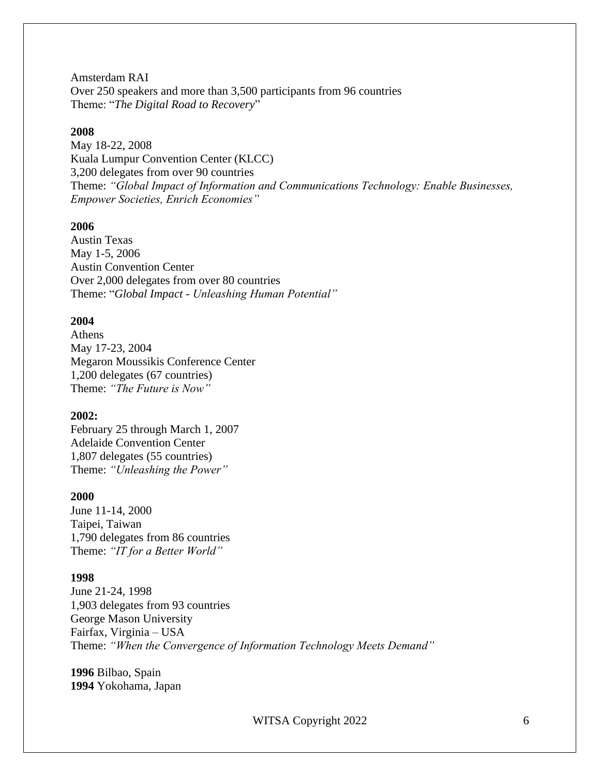Amsterdam RAI Over 250 speakers and more than 3,500 participants from 96 countries Theme: "*The Digital Road to Recovery*"

#### **2008**

May 18-22, 2008 Kuala Lumpur Convention Center (KLCC) 3,200 delegates from over 90 countries Theme: *"Global Impact of Information and Communications Technology: Enable Businesses, Empower Societies, Enrich Economies"*

## **2006**

Austin Texas May 1-5, 2006 Austin Convention Center Over 2,000 delegates from over 80 countries Theme: "*Global Impact - Unleashing Human Potential"*

## **2004**

Athens May 17-23, 2004 Megaron Moussikis Conference Center 1,200 delegates (67 countries) Theme: *"The Future is Now"*

#### **2002:**

February 25 through March 1, 2007 Adelaide Convention Center 1,807 delegates (55 countries) Theme: *"Unleashing the Power"*

#### **2000**

June 11-14, 2000 Taipei, Taiwan 1,790 delegates from 86 countries Theme: *"IT for a Better World"*

#### **1998**

June 21-24, 1998 1,903 delegates from 93 countries George Mason University Fairfax, Virginia – USA Theme: *"When the Convergence of Information Technology Meets Demand"*

**1996** Bilbao, Spain **1994** Yokohama, Japan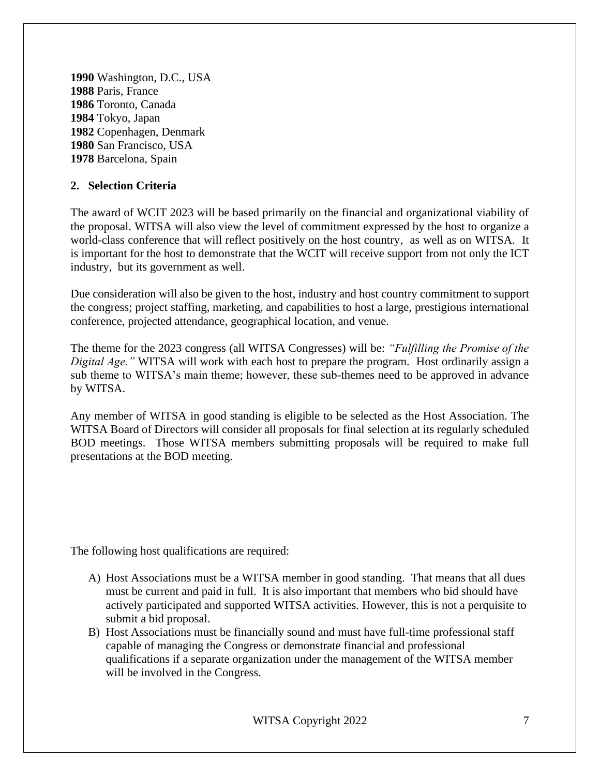Washington, D.C., USA Paris, France Toronto, Canada Tokyo, Japan Copenhagen, Denmark San Francisco, USA Barcelona, Spain

# **2. Selection Criteria**

The award of WCIT 2023 will be based primarily on the financial and organizational viability of the proposal. WITSA will also view the level of commitment expressed by the host to organize a world-class conference that will reflect positively on the host country, as well as on WITSA. It is important for the host to demonstrate that the WCIT will receive support from not only the ICT industry, but its government as well.

Due consideration will also be given to the host, industry and host country commitment to support the congress; project staffing, marketing, and capabilities to host a large, prestigious international conference, projected attendance, geographical location, and venue.

The theme for the 2023 congress (all WITSA Congresses) will be: *"Fulfilling the Promise of the Digital Age."* WITSA will work with each host to prepare the program. Host ordinarily assign a sub theme to WITSA's main theme; however, these sub-themes need to be approved in advance by WITSA.

Any member of WITSA in good standing is eligible to be selected as the Host Association. The WITSA Board of Directors will consider all proposals for final selection at its regularly scheduled BOD meetings. Those WITSA members submitting proposals will be required to make full presentations at the BOD meeting.

The following host qualifications are required:

- A) Host Associations must be a WITSA member in good standing. That means that all dues must be current and paid in full. It is also important that members who bid should have actively participated and supported WITSA activities. However, this is not a perquisite to submit a bid proposal.
- B) Host Associations must be financially sound and must have full-time professional staff capable of managing the Congress or demonstrate financial and professional qualifications if a separate organization under the management of the WITSA member will be involved in the Congress.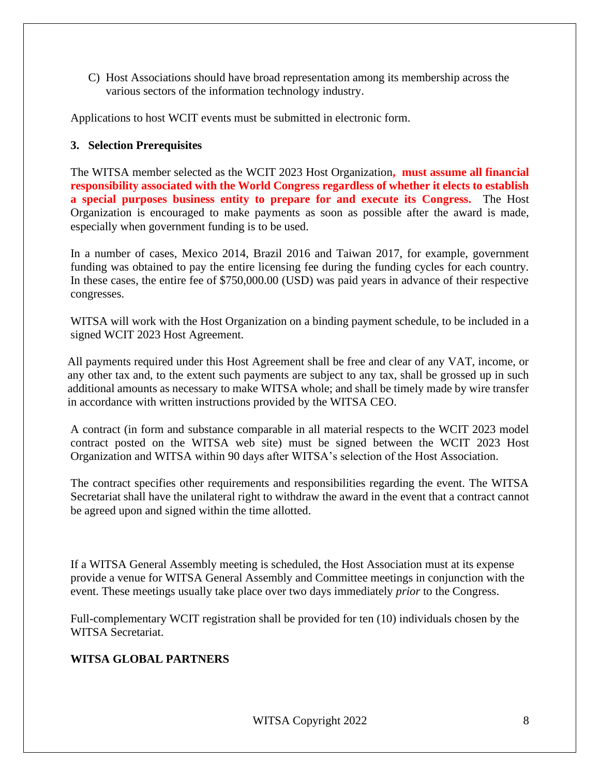C) Host Associations should have broad representation among its membership across the various sectors of the information technology industry.

Applications to host WCIT events must be submitted in electronic form.

# **3. Selection Prerequisites**

The WITSA member selected as the WCIT 2023 Host Organization**, must assume all financial responsibility associated with the World Congress regardless of whether it elects to establish a special purposes business entity to prepare for and execute its Congress.** The Host Organization is encouraged to make payments as soon as possible after the award is made, especially when government funding is to be used.

In a number of cases, Mexico 2014, Brazil 2016 and Taiwan 2017, for example, government funding was obtained to pay the entire licensing fee during the funding cycles for each country. In these cases, the entire fee of \$750,000.00 (USD) was paid years in advance of their respective congresses.

WITSA will work with the Host Organization on a binding payment schedule, to be included in a signed WCIT 2023 Host Agreement.

All payments required under this Host Agreement shall be free and clear of any VAT, income, or any other tax and, to the extent such payments are subject to any tax, shall be grossed up in such additional amounts as necessary to make WITSA whole; and shall be timely made by wire transfer in accordance with written instructions provided by the WITSA CEO.

A contract (in form and substance comparable in all material respects to the WCIT 2023 model contract posted on the WITSA web site) must be signed between the WCIT 2023 Host Organization and WITSA within 90 days after WITSA's selection of the Host Association.

The contract specifies other requirements and responsibilities regarding the event. The WITSA Secretariat shall have the unilateral right to withdraw the award in the event that a contract cannot be agreed upon and signed within the time allotted.

If a WITSA General Assembly meeting is scheduled, the Host Association must at its expense provide a venue for WITSA General Assembly and Committee meetings in conjunction with the event. These meetings usually take place over two days immediately *prior* to the Congress.

Full-complementary WCIT registration shall be provided for ten (10) individuals chosen by the WITSA Secretariat.

# **WITSA GLOBAL PARTNERS**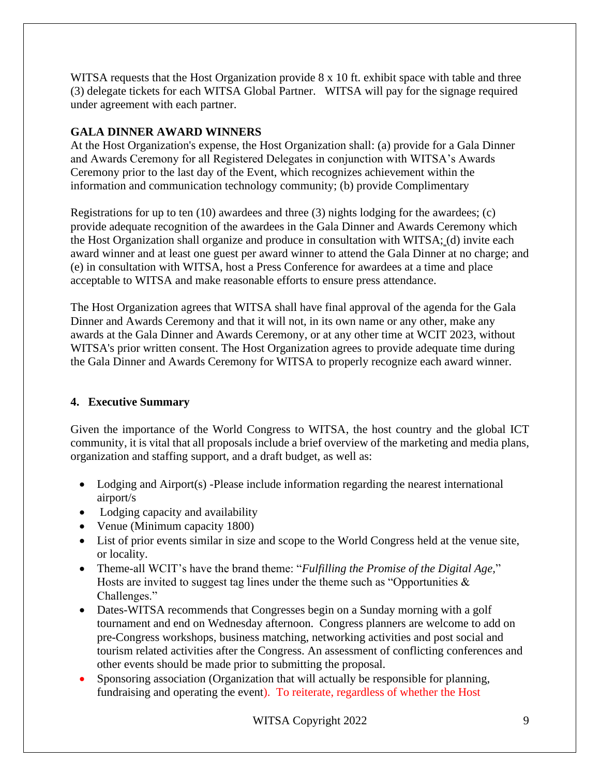WITSA requests that the Host Organization provide 8 x 10 ft. exhibit space with table and three (3) delegate tickets for each WITSA Global Partner. WITSA will pay for the signage required under agreement with each partner.

# **GALA DINNER AWARD WINNERS**

At the Host Organization's expense, the Host Organization shall: (a) provide for a Gala Dinner and Awards Ceremony for all Registered Delegates in conjunction with WITSA's Awards Ceremony prior to the last day of the Event, which recognizes achievement within the information and communication technology community; (b) provide Complimentary

Registrations for up to ten  $(10)$  awardees and three  $(3)$  nights lodging for the awardees;  $(c)$ provide adequate recognition of the awardees in the Gala Dinner and Awards Ceremony which the Host Organization shall organize and produce in consultation with WITSA; (d) invite each award winner and at least one guest per award winner to attend the Gala Dinner at no charge; and (e) in consultation with WITSA, host a Press Conference for awardees at a time and place acceptable to WITSA and make reasonable efforts to ensure press attendance.

The Host Organization agrees that WITSA shall have final approval of the agenda for the Gala Dinner and Awards Ceremony and that it will not, in its own name or any other, make any awards at the Gala Dinner and Awards Ceremony, or at any other time at WCIT 2023, without WITSA's prior written consent. The Host Organization agrees to provide adequate time during the Gala Dinner and Awards Ceremony for WITSA to properly recognize each award winner.

# **4. Executive Summary**

Given the importance of the World Congress to WITSA, the host country and the global ICT community, it is vital that all proposals include a brief overview of the marketing and media plans, organization and staffing support, and a draft budget, as well as:

- Lodging and Airport(s) -Please include information regarding the nearest international airport/s
- Lodging capacity and availability
- Venue (Minimum capacity 1800)
- List of prior events similar in size and scope to the World Congress held at the venue site, or locality.
- Theme-all WCIT's have the brand theme: "*Fulfilling the Promise of the Digital Age,*" Hosts are invited to suggest tag lines under the theme such as "Opportunities  $\&$ Challenges."
- Dates-WITSA recommends that Congresses begin on a Sunday morning with a golf tournament and end on Wednesday afternoon. Congress planners are welcome to add on pre-Congress workshops, business matching, networking activities and post social and tourism related activities after the Congress. An assessment of conflicting conferences and other events should be made prior to submitting the proposal.
- Sponsoring association (Organization that will actually be responsible for planning, fundraising and operating the event). To reiterate, regardless of whether the Host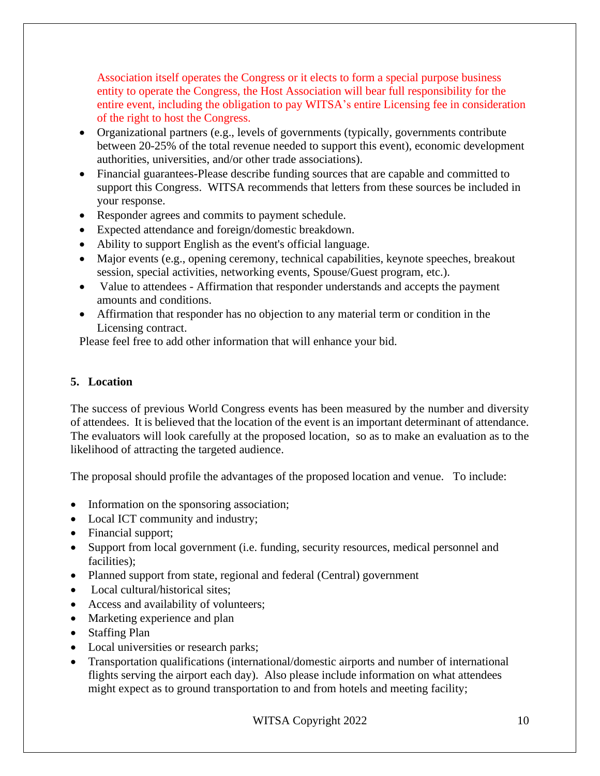Association itself operates the Congress or it elects to form a special purpose business entity to operate the Congress, the Host Association will bear full responsibility for the entire event, including the obligation to pay WITSA's entire Licensing fee in consideration of the right to host the Congress.

- Organizational partners (e.g., levels of governments (typically, governments contribute between 20-25% of the total revenue needed to support this event), economic development authorities, universities, and/or other trade associations).
- Financial guarantees-Please describe funding sources that are capable and committed to support this Congress. WITSA recommends that letters from these sources be included in your response.
- Responder agrees and commits to payment schedule.
- Expected attendance and foreign/domestic breakdown.
- Ability to support English as the event's official language.
- Major events (e.g., opening ceremony, technical capabilities, keynote speeches, breakout session, special activities, networking events, Spouse/Guest program, etc.).
- Value to attendees Affirmation that responder understands and accepts the payment amounts and conditions.
- Affirmation that responder has no objection to any material term or condition in the Licensing contract.

Please feel free to add other information that will enhance your bid.

# **5. Location**

The success of previous World Congress events has been measured by the number and diversity of attendees. It is believed that the location of the event is an important determinant of attendance. The evaluators will look carefully at the proposed location, so as to make an evaluation as to the likelihood of attracting the targeted audience.

The proposal should profile the advantages of the proposed location and venue. To include:

- Information on the sponsoring association;
- Local ICT community and industry;
- Financial support;
- Support from local government (i.e. funding, security resources, medical personnel and facilities);
- Planned support from state, regional and federal (Central) government
- Local cultural/historical sites:
- Access and availability of volunteers;
- Marketing experience and plan
- Staffing Plan
- Local universities or research parks;
- Transportation qualifications (international/domestic airports and number of international flights serving the airport each day). Also please include information on what attendees might expect as to ground transportation to and from hotels and meeting facility;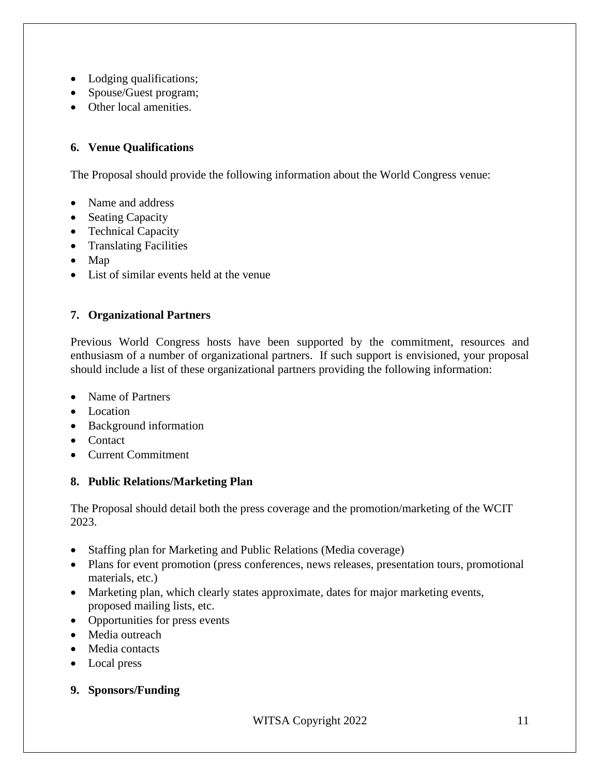- Lodging qualifications;
- Spouse/Guest program;
- Other local amenities.

# **6. Venue Qualifications**

The Proposal should provide the following information about the World Congress venue:

- Name and address
- Seating Capacity
- Technical Capacity
- Translating Facilities
- Map
- List of similar events held at the venue

# **7. Organizational Partners**

Previous World Congress hosts have been supported by the commitment, resources and enthusiasm of a number of organizational partners. If such support is envisioned, your proposal should include a list of these organizational partners providing the following information:

- Name of Partners
- Location
- Background information
- Contact
- Current Commitment

# **8. Public Relations/Marketing Plan**

The Proposal should detail both the press coverage and the promotion/marketing of the WCIT 2023.

- Staffing plan for Marketing and Public Relations (Media coverage)
- Plans for event promotion (press conferences, news releases, presentation tours, promotional materials, etc.)
- Marketing plan, which clearly states approximate, dates for major marketing events, proposed mailing lists, etc.
- Opportunities for press events
- Media outreach
- Media contacts
- Local press
- **9. Sponsors/Funding**